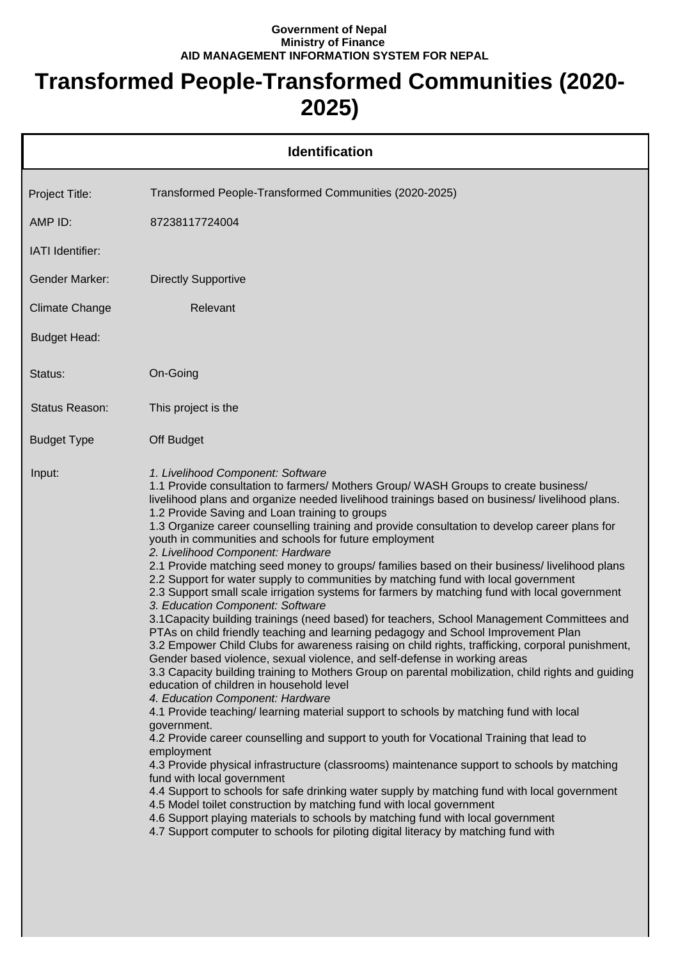## **Government of Nepal Ministry of Finance AID MANAGEMENT INFORMATION SYSTEM FOR NEPAL**

## **Transformed People-Transformed Communities (2020- 2025)**

|                       | <b>Identification</b>                                                                                                                                                                                                                                                                                                                                                                                                                                                                                                                                                                                                                                                                                                                                                                                                                                                                                                                                                                                                                                                                                                                                                                                                                                                                                                                                                                                                                                                                                                                                                                                                                                                                                                                                                                                                                                                                                                                                                                                                                                                |
|-----------------------|----------------------------------------------------------------------------------------------------------------------------------------------------------------------------------------------------------------------------------------------------------------------------------------------------------------------------------------------------------------------------------------------------------------------------------------------------------------------------------------------------------------------------------------------------------------------------------------------------------------------------------------------------------------------------------------------------------------------------------------------------------------------------------------------------------------------------------------------------------------------------------------------------------------------------------------------------------------------------------------------------------------------------------------------------------------------------------------------------------------------------------------------------------------------------------------------------------------------------------------------------------------------------------------------------------------------------------------------------------------------------------------------------------------------------------------------------------------------------------------------------------------------------------------------------------------------------------------------------------------------------------------------------------------------------------------------------------------------------------------------------------------------------------------------------------------------------------------------------------------------------------------------------------------------------------------------------------------------------------------------------------------------------------------------------------------------|
| Project Title:        | Transformed People-Transformed Communities (2020-2025)                                                                                                                                                                                                                                                                                                                                                                                                                                                                                                                                                                                                                                                                                                                                                                                                                                                                                                                                                                                                                                                                                                                                                                                                                                                                                                                                                                                                                                                                                                                                                                                                                                                                                                                                                                                                                                                                                                                                                                                                               |
| AMP ID:               | 87238117724004                                                                                                                                                                                                                                                                                                                                                                                                                                                                                                                                                                                                                                                                                                                                                                                                                                                                                                                                                                                                                                                                                                                                                                                                                                                                                                                                                                                                                                                                                                                                                                                                                                                                                                                                                                                                                                                                                                                                                                                                                                                       |
| IATI Identifier:      |                                                                                                                                                                                                                                                                                                                                                                                                                                                                                                                                                                                                                                                                                                                                                                                                                                                                                                                                                                                                                                                                                                                                                                                                                                                                                                                                                                                                                                                                                                                                                                                                                                                                                                                                                                                                                                                                                                                                                                                                                                                                      |
| <b>Gender Marker:</b> | <b>Directly Supportive</b>                                                                                                                                                                                                                                                                                                                                                                                                                                                                                                                                                                                                                                                                                                                                                                                                                                                                                                                                                                                                                                                                                                                                                                                                                                                                                                                                                                                                                                                                                                                                                                                                                                                                                                                                                                                                                                                                                                                                                                                                                                           |
| <b>Climate Change</b> | Relevant                                                                                                                                                                                                                                                                                                                                                                                                                                                                                                                                                                                                                                                                                                                                                                                                                                                                                                                                                                                                                                                                                                                                                                                                                                                                                                                                                                                                                                                                                                                                                                                                                                                                                                                                                                                                                                                                                                                                                                                                                                                             |
| <b>Budget Head:</b>   |                                                                                                                                                                                                                                                                                                                                                                                                                                                                                                                                                                                                                                                                                                                                                                                                                                                                                                                                                                                                                                                                                                                                                                                                                                                                                                                                                                                                                                                                                                                                                                                                                                                                                                                                                                                                                                                                                                                                                                                                                                                                      |
| Status:               | On-Going                                                                                                                                                                                                                                                                                                                                                                                                                                                                                                                                                                                                                                                                                                                                                                                                                                                                                                                                                                                                                                                                                                                                                                                                                                                                                                                                                                                                                                                                                                                                                                                                                                                                                                                                                                                                                                                                                                                                                                                                                                                             |
| Status Reason:        | This project is the                                                                                                                                                                                                                                                                                                                                                                                                                                                                                                                                                                                                                                                                                                                                                                                                                                                                                                                                                                                                                                                                                                                                                                                                                                                                                                                                                                                                                                                                                                                                                                                                                                                                                                                                                                                                                                                                                                                                                                                                                                                  |
| <b>Budget Type</b>    | Off Budget                                                                                                                                                                                                                                                                                                                                                                                                                                                                                                                                                                                                                                                                                                                                                                                                                                                                                                                                                                                                                                                                                                                                                                                                                                                                                                                                                                                                                                                                                                                                                                                                                                                                                                                                                                                                                                                                                                                                                                                                                                                           |
| Input:                | 1. Livelihood Component: Software<br>1.1 Provide consultation to farmers/ Mothers Group/ WASH Groups to create business/<br>livelihood plans and organize needed livelihood trainings based on business/livelihood plans.<br>1.2 Provide Saving and Loan training to groups<br>1.3 Organize career counselling training and provide consultation to develop career plans for<br>youth in communities and schools for future employment<br>2. Livelihood Component: Hardware<br>2.1 Provide matching seed money to groups/ families based on their business/ livelihood plans<br>2.2 Support for water supply to communities by matching fund with local government<br>2.3 Support small scale irrigation systems for farmers by matching fund with local government<br>3. Education Component: Software<br>3.1 Capacity building trainings (need based) for teachers, School Management Committees and<br>PTAs on child friendly teaching and learning pedagogy and School Improvement Plan<br>3.2 Empower Child Clubs for awareness raising on child rights, trafficking, corporal punishment,<br>Gender based violence, sexual violence, and self-defense in working areas<br>3.3 Capacity building training to Mothers Group on parental mobilization, child rights and guiding<br>education of children in household level<br>4. Education Component: Hardware<br>4.1 Provide teaching/ learning material support to schools by matching fund with local<br>government.<br>4.2 Provide career counselling and support to youth for Vocational Training that lead to<br>employment<br>4.3 Provide physical infrastructure (classrooms) maintenance support to schools by matching<br>fund with local government<br>4.4 Support to schools for safe drinking water supply by matching fund with local government<br>4.5 Model toilet construction by matching fund with local government<br>4.6 Support playing materials to schools by matching fund with local government<br>4.7 Support computer to schools for piloting digital literacy by matching fund with |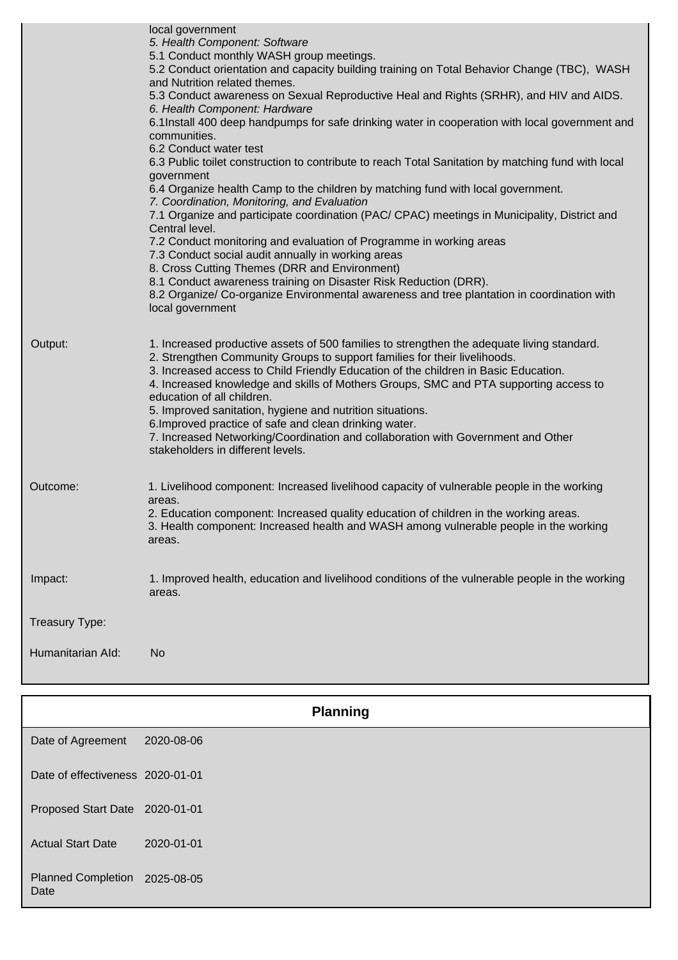|                   | local government<br>5. Health Component: Software<br>5.1 Conduct monthly WASH group meetings.<br>5.2 Conduct orientation and capacity building training on Total Behavior Change (TBC), WASH<br>and Nutrition related themes.<br>5.3 Conduct awareness on Sexual Reproductive Heal and Rights (SRHR), and HIV and AIDS.<br>6. Health Component: Hardware<br>6.1Install 400 deep handpumps for safe drinking water in cooperation with local government and<br>communities.<br>6.2 Conduct water test<br>6.3 Public toilet construction to contribute to reach Total Sanitation by matching fund with local<br>government<br>6.4 Organize health Camp to the children by matching fund with local government.<br>7. Coordination, Monitoring, and Evaluation<br>7.1 Organize and participate coordination (PAC/ CPAC) meetings in Municipality, District and<br>Central level.<br>7.2 Conduct monitoring and evaluation of Programme in working areas<br>7.3 Conduct social audit annually in working areas<br>8. Cross Cutting Themes (DRR and Environment)<br>8.1 Conduct awareness training on Disaster Risk Reduction (DRR).<br>8.2 Organize/ Co-organize Environmental awareness and tree plantation in coordination with<br>local government |
|-------------------|---------------------------------------------------------------------------------------------------------------------------------------------------------------------------------------------------------------------------------------------------------------------------------------------------------------------------------------------------------------------------------------------------------------------------------------------------------------------------------------------------------------------------------------------------------------------------------------------------------------------------------------------------------------------------------------------------------------------------------------------------------------------------------------------------------------------------------------------------------------------------------------------------------------------------------------------------------------------------------------------------------------------------------------------------------------------------------------------------------------------------------------------------------------------------------------------------------------------------------------------------|
| Output:           | 1. Increased productive assets of 500 families to strengthen the adequate living standard.<br>2. Strengthen Community Groups to support families for their livelihoods.<br>3. Increased access to Child Friendly Education of the children in Basic Education.<br>4. Increased knowledge and skills of Mothers Groups, SMC and PTA supporting access to<br>education of all children.<br>5. Improved sanitation, hygiene and nutrition situations.<br>6. Improved practice of safe and clean drinking water.<br>7. Increased Networking/Coordination and collaboration with Government and Other<br>stakeholders in different levels.                                                                                                                                                                                                                                                                                                                                                                                                                                                                                                                                                                                                             |
| Outcome:          | 1. Livelihood component: Increased livelihood capacity of vulnerable people in the working<br>areas.<br>2. Education component: Increased quality education of children in the working areas.<br>3. Health component: Increased health and WASH among vulnerable people in the working<br>areas.                                                                                                                                                                                                                                                                                                                                                                                                                                                                                                                                                                                                                                                                                                                                                                                                                                                                                                                                                  |
| Impact:           | 1. Improved health, education and livelihood conditions of the vulnerable people in the working<br>areas.                                                                                                                                                                                                                                                                                                                                                                                                                                                                                                                                                                                                                                                                                                                                                                                                                                                                                                                                                                                                                                                                                                                                         |
| Treasury Type:    |                                                                                                                                                                                                                                                                                                                                                                                                                                                                                                                                                                                                                                                                                                                                                                                                                                                                                                                                                                                                                                                                                                                                                                                                                                                   |
| Humanitarian Ald: | <b>No</b>                                                                                                                                                                                                                                                                                                                                                                                                                                                                                                                                                                                                                                                                                                                                                                                                                                                                                                                                                                                                                                                                                                                                                                                                                                         |
|                   |                                                                                                                                                                                                                                                                                                                                                                                                                                                                                                                                                                                                                                                                                                                                                                                                                                                                                                                                                                                                                                                                                                                                                                                                                                                   |

|                                       | <b>Planning</b> |
|---------------------------------------|-----------------|
| Date of Agreement                     | 2020-08-06      |
| Date of effectiveness 2020-01-01      |                 |
| Proposed Start Date 2020-01-01        |                 |
| <b>Actual Start Date</b>              | 2020-01-01      |
| Planned Completion 2025-08-05<br>Date |                 |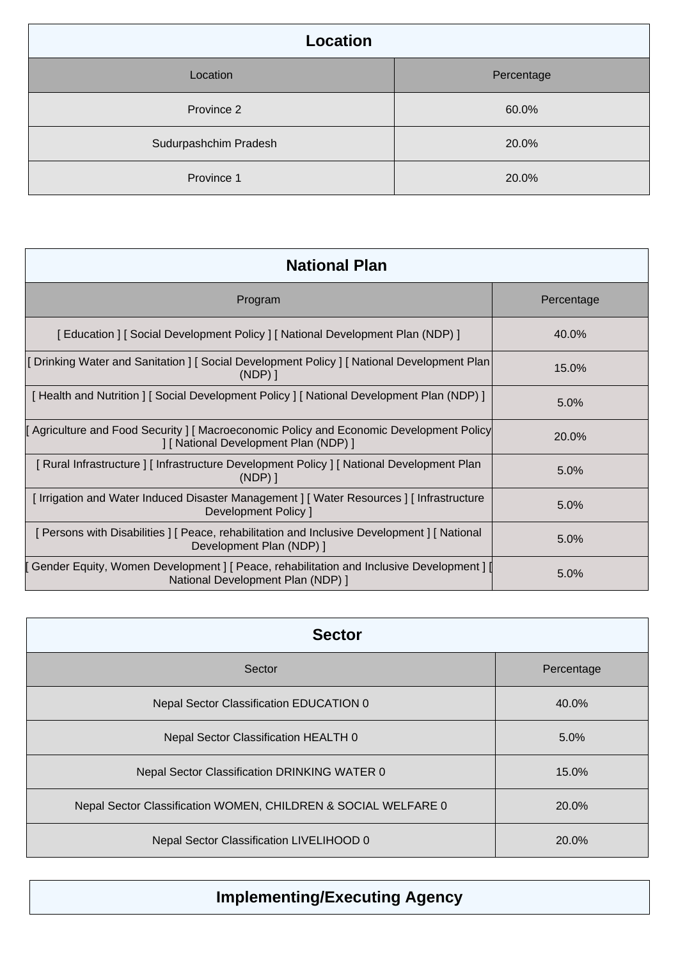| <b>Location</b>       |            |
|-----------------------|------------|
| Location              | Percentage |
| Province 2            | 60.0%      |
| Sudurpashchim Pradesh | 20.0%      |
| Province 1            | 20.0%      |

| <b>National Plan</b>                                                                                                             |            |  |
|----------------------------------------------------------------------------------------------------------------------------------|------------|--|
| Program                                                                                                                          | Percentage |  |
| [ Education ] [ Social Development Policy ] [ National Development Plan (NDP) ]                                                  | 40.0%      |  |
| [Drinking Water and Sanitation ] [Social Development Policy ] [National Development Plan<br>$(NDP)$ ]                            | 15.0%      |  |
| Health and Nutrition   [Social Development Policy   [National Development Plan (NDP) ]                                           | 5.0%       |  |
| [Agriculture and Food Security ] [ Macroeconomic Policy and Economic Development Policy<br>] [ National Development Plan (NDP) ] | 20.0%      |  |
| [ Rural Infrastructure ] [ Infrastructure Development Policy ] [ National Development Plan<br>$(NDP)$ ]                          | 5.0%       |  |
| [Irrigation and Water Induced Disaster Management ] [Water Resources ] [Infrastructure<br><b>Development Policy 1</b>            | 5.0%       |  |
| [ Persons with Disabilities ] [ Peace, rehabilitation and Inclusive Development ] [ National<br>Development Plan (NDP) ]         | 5.0%       |  |
| Gender Equity, Women Development   [ Peace, rehabilitation and Inclusive Development ] [<br>National Development Plan (NDP) ]    | 5.0%       |  |

| <b>Sector</b>                                                  |            |
|----------------------------------------------------------------|------------|
| Sector                                                         | Percentage |
| <b>Nepal Sector Classification EDUCATION 0</b>                 | 40.0%      |
| Nepal Sector Classification HEALTH 0                           | 5.0%       |
| Nepal Sector Classification DRINKING WATER 0                   | 15.0%      |
| Nepal Sector Classification WOMEN, CHILDREN & SOCIAL WELFARE 0 | 20.0%      |
| Nepal Sector Classification LIVELIHOOD 0                       | 20.0%      |

## **Implementing/Executing Agency**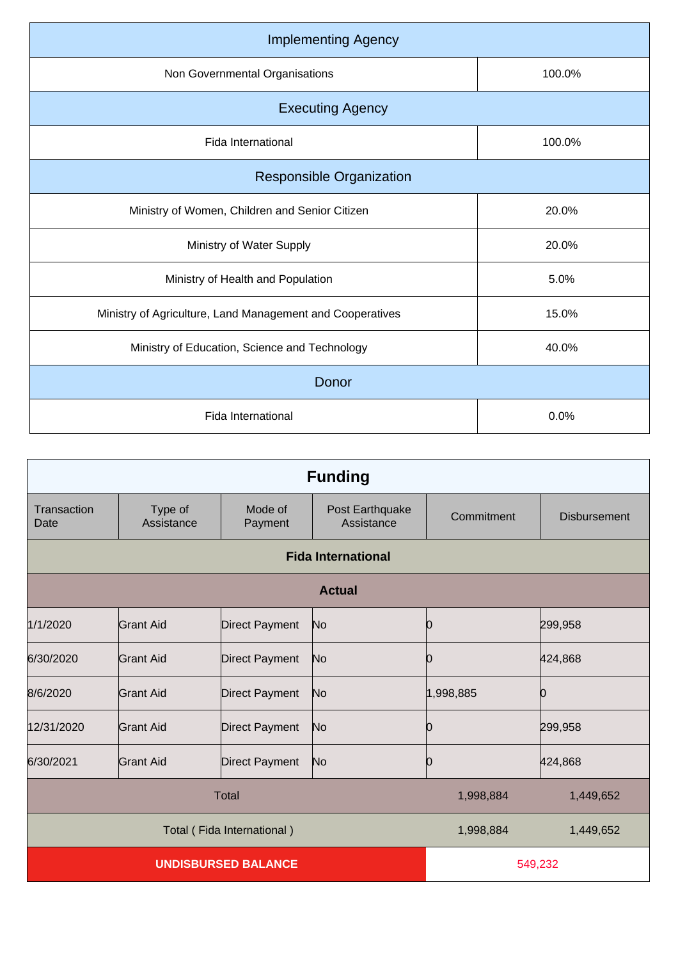| 100.0% |
|--------|
|        |
| 100.0% |
|        |
| 20.0%  |
| 20.0%  |
| 5.0%   |
| 15.0%  |
| 40.0%  |
|        |
| 0.0%   |
|        |

|                            | <b>Funding</b>        |                       |                               |            |                     |
|----------------------------|-----------------------|-----------------------|-------------------------------|------------|---------------------|
| Transaction<br>Date        | Type of<br>Assistance | Mode of<br>Payment    | Post Earthquake<br>Assistance | Commitment | <b>Disbursement</b> |
|                            |                       |                       | <b>Fida International</b>     |            |                     |
|                            |                       |                       | <b>Actual</b>                 |            |                     |
| 1/1/2020                   | <b>Grant Aid</b>      | <b>Direct Payment</b> | No                            | 10         | 299,958             |
| 6/30/2020                  | <b>Grant Aid</b>      | <b>Direct Payment</b> | No                            | 10         | 424,868             |
| 8/6/2020                   | <b>Grant Aid</b>      | Direct Payment        | No                            | 1,998,885  | 0                   |
| 12/31/2020                 | Grant Aid             | <b>Direct Payment</b> | No                            | Ю          | 299,958             |
| 6/30/2021                  | <b>Grant Aid</b>      | <b>Direct Payment</b> | No                            | Ю          | 424,868             |
| <b>Total</b>               |                       |                       | 1,998,884                     | 1,449,652  |                     |
| Total (Fida International) |                       |                       | 1,998,884                     | 1,449,652  |                     |
| <b>UNDISBURSED BALANCE</b> |                       |                       | 549,232                       |            |                     |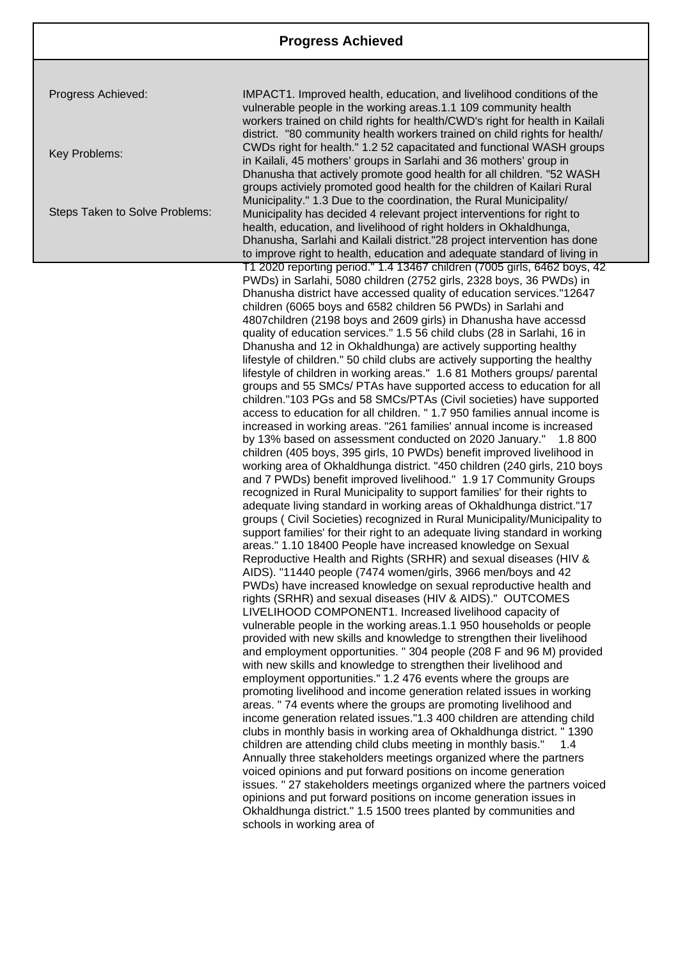Progress Achieved:

Key Problems:

Steps Taken to Solve Problems:

IMPACT1. Improved health, education, and livelihood conditions of the vulnerable people in the working areas.1.1 109 community health workers trained on child rights for health/CWD's right for health in Kailali district. "80 community health workers trained on child rights for health/ CWDs right for health." 1.2 52 capacitated and functional WASH groups in Kailali, 45 mothers' groups in Sarlahi and 36 mothers' group in Dhanusha that actively promote good health for all children. "52 WASH groups activiely promoted good health for the children of Kailari Rural Municipality." 1.3 Due to the coordination, the Rural Municipality/ Municipality has decided 4 relevant project interventions for right to health, education, and livelihood of right holders in Okhaldhunga, Dhanusha, Sarlahi and Kailali district."28 project intervention has done to improve right to health, education and adequate standard of living in T1 2020 reporting period." 1.4 13467 children (7005 girls, 6462 boys, 42 PWDs) in Sarlahi, 5080 children (2752 girls, 2328 boys, 36 PWDs) in Dhanusha district have accessed quality of education services."12647 children (6065 boys and 6582 children 56 PWDs) in Sarlahi and 4807children (2198 boys and 2609 girls) in Dhanusha have accessd quality of education services." 1.5 56 child clubs (28 in Sarlahi, 16 in Dhanusha and 12 in Okhaldhunga) are actively supporting healthy lifestyle of children." 50 child clubs are actively supporting the healthy lifestyle of children in working areas." 1.6 81 Mothers groups/ parental groups and 55 SMCs/ PTAs have supported access to education for all children."103 PGs and 58 SMCs/PTAs (Civil societies) have supported access to education for all children. " 1.7 950 families annual income is increased in working areas. "261 families' annual income is increased by 13% based on assessment conducted on 2020 January." 1.8 800 children (405 boys, 395 girls, 10 PWDs) benefit improved livelihood in working area of Okhaldhunga district. "450 children (240 girls, 210 boys and 7 PWDs) benefit improved livelihood." 1.9 17 Community Groups recognized in Rural Municipality to support families' for their rights to adequate living standard in working areas of Okhaldhunga district."17 groups ( Civil Societies) recognized in Rural Municipality/Municipality to support families' for their right to an adequate living standard in working areas." 1.10 18400 People have increased knowledge on Sexual Reproductive Health and Rights (SRHR) and sexual diseases (HIV & AIDS). "11440 people (7474 women/girls, 3966 men/boys and 42 PWDs) have increased knowledge on sexual reproductive health and rights (SRHR) and sexual diseases (HIV & AIDS)." OUTCOMES LIVELIHOOD COMPONENT1. Increased livelihood capacity of vulnerable people in the working areas.1.1 950 households or people provided with new skills and knowledge to strengthen their livelihood and employment opportunities. " 304 people (208 F and 96 M) provided with new skills and knowledge to strengthen their livelihood and employment opportunities." 1.2 476 events where the groups are promoting livelihood and income generation related issues in working areas. " 74 events where the groups are promoting livelihood and income generation related issues."1.3 400 children are attending child clubs in monthly basis in working area of Okhaldhunga district. " 1390 children are attending child clubs meeting in monthly basis." 1.4 Annually three stakeholders meetings organized where the partners voiced opinions and put forward positions on income generation issues. " 27 stakeholders meetings organized where the partners voiced opinions and put forward positions on income generation issues in Okhaldhunga district." 1.5 1500 trees planted by communities and schools in working area of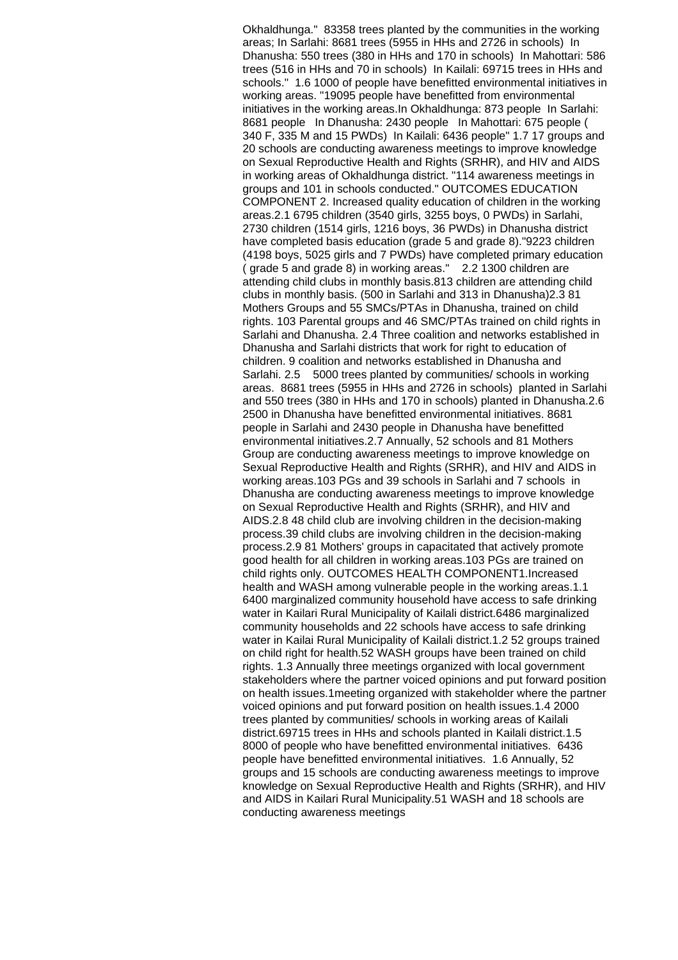Okhaldhunga." 83358 trees planted by the communities in the working areas; In Sarlahi: 8681 trees (5955 in HHs and 2726 in schools) In Dhanusha: 550 trees (380 in HHs and 170 in schools) In Mahottari: 586 trees (516 in HHs and 70 in schools) In Kailali: 69715 trees in HHs and schools." 1.6 1000 of people have benefitted environmental initiatives in working areas. "19095 people have benefitted from environmental initiatives in the working areas.In Okhaldhunga: 873 people In Sarlahi: 8681 people In Dhanusha: 2430 people In Mahottari: 675 people ( 340 F, 335 M and 15 PWDs) In Kailali: 6436 people" 1.7 17 groups and 20 schools are conducting awareness meetings to improve knowledge on Sexual Reproductive Health and Rights (SRHR), and HIV and AIDS in working areas of Okhaldhunga district. "114 awareness meetings in groups and 101 in schools conducted." OUTCOMES EDUCATION COMPONENT 2. Increased quality education of children in the working areas.2.1 6795 children (3540 girls, 3255 boys, 0 PWDs) in Sarlahi, 2730 children (1514 girls, 1216 boys, 36 PWDs) in Dhanusha district have completed basis education (grade 5 and grade 8)."9223 children (4198 boys, 5025 girls and 7 PWDs) have completed primary education ( grade 5 and grade 8) in working areas." 2.2 1300 children are attending child clubs in monthly basis.813 children are attending child clubs in monthly basis. (500 in Sarlahi and 313 in Dhanusha)2.3 81 Mothers Groups and 55 SMCs/PTAs in Dhanusha, trained on child rights. 103 Parental groups and 46 SMC/PTAs trained on child rights in Sarlahi and Dhanusha. 2.4 Three coalition and networks established in Dhanusha and Sarlahi districts that work for right to education of children. 9 coalition and networks established in Dhanusha and Sarlahi. 2.5 5000 trees planted by communities/ schools in working areas. 8681 trees (5955 in HHs and 2726 in schools) planted in Sarlahi and 550 trees (380 in HHs and 170 in schools) planted in Dhanusha.2.6 2500 in Dhanusha have benefitted environmental initiatives. 8681 people in Sarlahi and 2430 people in Dhanusha have benefitted environmental initiatives.2.7 Annually, 52 schools and 81 Mothers Group are conducting awareness meetings to improve knowledge on Sexual Reproductive Health and Rights (SRHR), and HIV and AIDS in working areas.103 PGs and 39 schools in Sarlahi and 7 schools in Dhanusha are conducting awareness meetings to improve knowledge on Sexual Reproductive Health and Rights (SRHR), and HIV and AIDS.2.8 48 child club are involving children in the decision-making process.39 child clubs are involving children in the decision-making process.2.9 81 Mothers' groups in capacitated that actively promote good health for all children in working areas.103 PGs are trained on child rights only. OUTCOMES HEALTH COMPONENT1.Increased health and WASH among vulnerable people in the working areas.1.1 6400 marginalized community household have access to safe drinking water in Kailari Rural Municipality of Kailali district.6486 marginalized community households and 22 schools have access to safe drinking water in Kailai Rural Municipality of Kailali district.1.2 52 groups trained on child right for health.52 WASH groups have been trained on child rights. 1.3 Annually three meetings organized with local government stakeholders where the partner voiced opinions and put forward position on health issues.1meeting organized with stakeholder where the partner voiced opinions and put forward position on health issues.1.4 2000 trees planted by communities/ schools in working areas of Kailali district.69715 trees in HHs and schools planted in Kailali district.1.5 8000 of people who have benefitted environmental initiatives. 6436 people have benefitted environmental initiatives. 1.6 Annually, 52 groups and 15 schools are conducting awareness meetings to improve knowledge on Sexual Reproductive Health and Rights (SRHR), and HIV and AIDS in Kailari Rural Municipality.51 WASH and 18 schools are conducting awareness meetings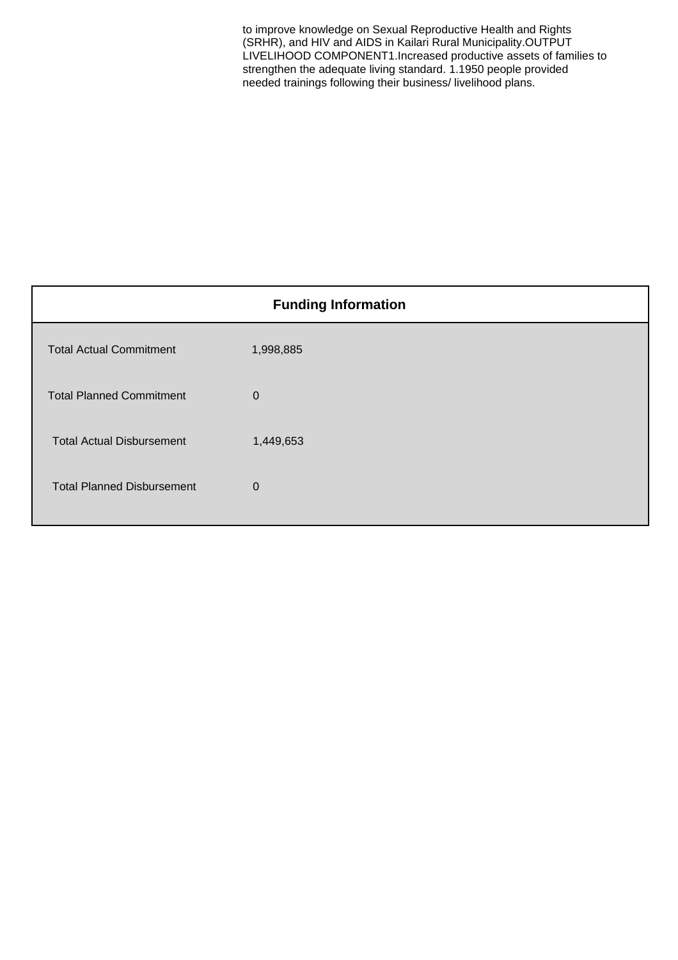to improve knowledge on Sexual Reproductive Health and Rights (SRHR), and HIV and AIDS in Kailari Rural Municipality.OUTPUT LIVELIHOOD COMPONENT1.Increased productive assets of families to strengthen the adequate living standard. 1.1950 people provided needed trainings following their business/ livelihood plans.

| <b>Funding Information</b>        |             |
|-----------------------------------|-------------|
| <b>Total Actual Commitment</b>    | 1,998,885   |
| <b>Total Planned Commitment</b>   | $\Omega$    |
| <b>Total Actual Disbursement</b>  | 1,449,653   |
| <b>Total Planned Disbursement</b> | $\mathbf 0$ |
|                                   |             |